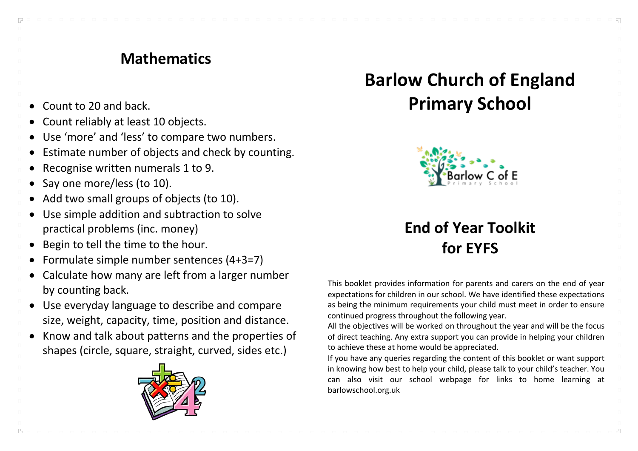#### **Mathematics**

- Count to 20 and back.
- Count reliably at least 10 objects.
- Use 'more' and 'less' to compare two numbers.
- Estimate number of objects and check by counting.
- Recognise written numerals 1 to 9.
- Say one more/less (to 10).

 $\Box$ 

- Add two small groups of objects (to 10).
- Use simple addition and subtraction to solve practical problems (inc. money)
- Begin to tell the time to the hour.
- Formulate simple number sentences (4+3=7)
- Calculate how many are left from a larger number by counting back.
- Use everyday language to describe and compare size, weight, capacity, time, position and distance.
- Know and talk about patterns and the properties of shapes (circle, square, straight, curved, sides etc.)



# **Barlow Church of England Primary School**



### **End of Year Toolkit for EYFS**

This booklet provides information for parents and carers on the end of year expectations for children in our school. We have identified these expectations as being the minimum requirements your child must meet in order to ensure continued progress throughout the following year.

All the objectives will be worked on throughout the year and will be the focus of direct teaching. Any extra support you can provide in helping your children to achieve these at home would be appreciated.

If you have any queries regarding the content of this booklet or want support in knowing how best to help your child, please talk to your child's teacher. You can also visit our school webpage for links to home learning at barlowschool.org.uk